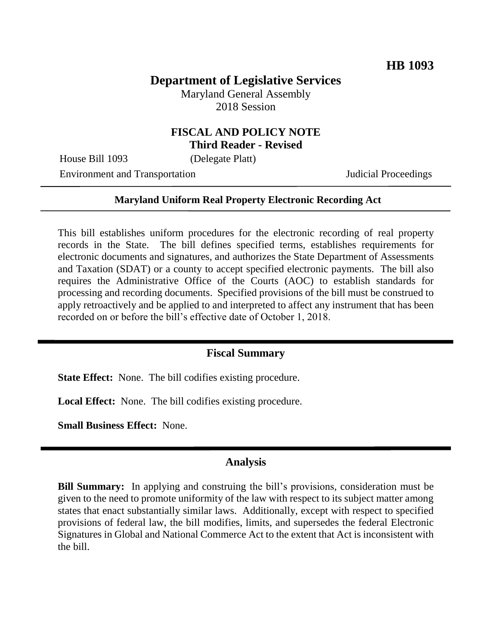# **Department of Legislative Services**

Maryland General Assembly 2018 Session

#### **FISCAL AND POLICY NOTE Third Reader - Revised**

House Bill 1093 (Delegate Platt)

Environment and Transportation **Internal Acceptual Proceedings** 

#### **Maryland Uniform Real Property Electronic Recording Act**

This bill establishes uniform procedures for the electronic recording of real property records in the State. The bill defines specified terms, establishes requirements for electronic documents and signatures, and authorizes the State Department of Assessments and Taxation (SDAT) or a county to accept specified electronic payments. The bill also requires the Administrative Office of the Courts (AOC) to establish standards for processing and recording documents. Specified provisions of the bill must be construed to apply retroactively and be applied to and interpreted to affect any instrument that has been recorded on or before the bill's effective date of October 1, 2018.

#### **Fiscal Summary**

**State Effect:** None. The bill codifies existing procedure.

**Local Effect:** None. The bill codifies existing procedure.

**Small Business Effect:** None.

#### **Analysis**

**Bill Summary:** In applying and construing the bill's provisions, consideration must be given to the need to promote uniformity of the law with respect to its subject matter among states that enact substantially similar laws. Additionally, except with respect to specified provisions of federal law, the bill modifies, limits, and supersedes the federal Electronic Signatures in Global and National Commerce Act to the extent that Act is inconsistent with the bill.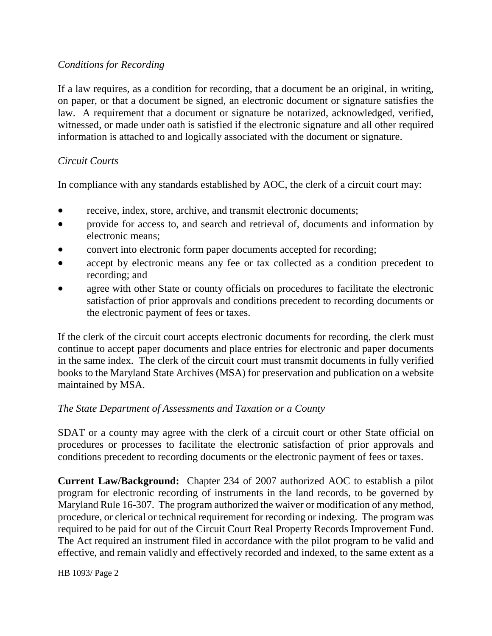### *Conditions for Recording*

If a law requires, as a condition for recording, that a document be an original, in writing, on paper, or that a document be signed, an electronic document or signature satisfies the law. A requirement that a document or signature be notarized, acknowledged, verified, witnessed, or made under oath is satisfied if the electronic signature and all other required information is attached to and logically associated with the document or signature.

### *Circuit Courts*

In compliance with any standards established by AOC, the clerk of a circuit court may:

- receive, index, store, archive, and transmit electronic documents;
- provide for access to, and search and retrieval of, documents and information by electronic means;
- convert into electronic form paper documents accepted for recording;
- accept by electronic means any fee or tax collected as a condition precedent to recording; and
- agree with other State or county officials on procedures to facilitate the electronic satisfaction of prior approvals and conditions precedent to recording documents or the electronic payment of fees or taxes.

If the clerk of the circuit court accepts electronic documents for recording, the clerk must continue to accept paper documents and place entries for electronic and paper documents in the same index. The clerk of the circuit court must transmit documents in fully verified books to the Maryland State Archives (MSA) for preservation and publication on a website maintained by MSA.

## *The State Department of Assessments and Taxation or a County*

SDAT or a county may agree with the clerk of a circuit court or other State official on procedures or processes to facilitate the electronic satisfaction of prior approvals and conditions precedent to recording documents or the electronic payment of fees or taxes.

**Current Law/Background:** Chapter 234 of 2007 authorized AOC to establish a pilot program for electronic recording of instruments in the land records, to be governed by Maryland Rule 16-307. The program authorized the waiver or modification of any method, procedure, or clerical or technical requirement for recording or indexing. The program was required to be paid for out of the Circuit Court Real Property Records Improvement Fund. The Act required an instrument filed in accordance with the pilot program to be valid and effective, and remain validly and effectively recorded and indexed, to the same extent as a

HB 1093/ Page 2